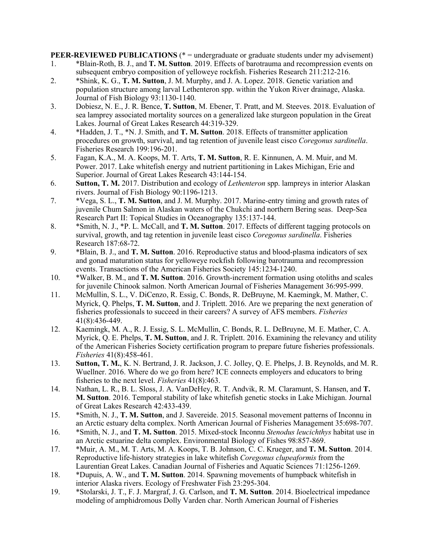**PEER-REVIEWED PUBLICATIONS** (\* = undergraduate or graduate students under my advisement)

- 1. \*Blain-Roth, B. J., and **T. M. Sutton**. 2019. Effects of barotrauma and recompression events on subsequent embryo composition of yelloweye rockfish. Fisheries Research 211:212-216.
- 2. \*Shink, K. G., **T. M. Sutton**, J. M. Murphy, and J. A. Lopez. 2018. Genetic variation and population structure among larval Lethenteron spp. within the Yukon River drainage, Alaska. Journal of Fish Biology 93:1130-1140.
- 3. Dobiesz, N. E., J. R. Bence, **T. Sutton**, M. Ebener, T. Pratt, and M. Steeves. 2018. Evaluation of sea lamprey associated mortality sources on a generalized lake sturgeon population in the Great Lakes. Journal of Great Lakes Research 44:319-329.
- 4. \*Hadden, J. T., \*N. J. Smith, and **T. M. Sutton**. 2018. Effects of transmitter application procedures on growth, survival, and tag retention of juvenile least cisco *Coregonus sardinella*. Fisheries Research 199:196-201.
- 5. Fagan, K.A., M. A. Koops, M. T. Arts, **T. M. Sutton**, R. E. Kinnunen, A. M. Muir, and M. Power. 2017. Lake whitefish energy and nutrient partitioning in Lakes Michigan, Erie and Superior. Journal of Great Lakes Research 43:144-154.
- 6. **Sutton, T. M.** 2017. Distribution and ecology of *Lethenteron* spp. lampreys in interior Alaskan rivers. Journal of Fish Biology 90:1196-1213.
- 7. \*Vega, S. L., **T. M. Sutton**, and J. M. Murphy. 2017. Marine-entry timing and growth rates of juvenile Chum Salmon in Alaskan waters of the Chukchi and northern Bering seas. Deep-Sea Research Part II: Topical Studies in Oceanography 135:137-144.
- 8. \*Smith, N. J., \*P. L. McCall, and **T. M. Sutton**. 2017. Effects of different tagging protocols on survival, growth, and tag retention in juvenile least cisco *Coregonus sardinella*. Fisheries Research 187:68-72.
- 9. \*Blain, B. J., and **T. M. Sutton**. 2016. Reproductive status and blood-plasma indicators of sex and gonad maturation status for yelloweye rockfish following barotrauma and recompression events. Transactions of the American Fisheries Society 145:1234-1240.
- 10. \*Walker, B. M., and **T. M. Sutton**. 2016. Growth-increment formation using otoliths and scales for juvenile Chinook salmon. North American Journal of Fisheries Management 36:995-999.
- 11. McMullin, S. L., V. DiCenzo, R. Essig, C. Bonds, R. DeBruyne, M. Kaemingk, M. Mather, C. Myrick, Q. Phelps, **T. M. Sutton**, and J. Triplett. 2016. Are we preparing the next generation of fisheries professionals to succeed in their careers? A survey of AFS members. *Fisheries* 41(8):436-449.
- 12. Kaemingk, M. A., R. J. Essig, S. L. McMullin, C. Bonds, R. L. DeBruyne, M. E. Mather, C. A. Myrick, Q. E. Phelps, **T. M. Sutton**, and J. R. Triplett. 2016. Examining the relevancy and utility of the American Fisheries Society certification program to prepare future fisheries professionals. *Fisheries* 41(8):458-461.
- 13. **Sutton, T. M.**, K. N. Bertrand, J. R. Jackson, J. C. Jolley, Q. E. Phelps, J. B. Reynolds, and M. R. Wuellner. 2016. Where do we go from here? ICE connects employers and educators to bring fisheries to the next level. *Fisheries* 41(8):463.
- 14. Nathan, L. R., B. L. Sloss, J. A. VanDeHey, R. T. Andvik, R. M. Claramunt, S. Hansen, and **T. M. Sutton**. 2016. Temporal stability of lake whitefish genetic stocks in Lake Michigan. Journal of Great Lakes Research 42:433-439.
- 15. \*Smith, N. J., **T. M. Sutton**, and J. Savereide. 2015. Seasonal movement patterns of Inconnu in an Arctic estuary delta complex. North American Journal of Fisheries Management 35:698-707.
- 16. \*Smith, N. J., and **T. M. Sutton**. 2015. Mixed-stock Inconnu *Stenodus leucichthys* habitat use in an Arctic estuarine delta complex. Environmental Biology of Fishes 98:857-869.
- 17. \*Muir, A. M., M. T. Arts, M. A. Koops, T. B. Johnson, C. C. Krueger, and **T. M. Sutton**. 2014. Reproductive life-history strategies in lake whitefish *Coregonus clupeaformis* from the Laurentian Great Lakes. Canadian Journal of Fisheries and Aquatic Sciences 71:1256-1269.
- 18. \*Dupuis, A. W., and **T. M. Sutton**. 2014. Spawning movements of humpback whitefish in interior Alaska rivers. Ecology of Freshwater Fish 23:295-304.
- 19. \*Stolarski, J. T., F. J. Margraf, J. G. Carlson, and **T. M. Sutton**. 2014. Bioelectrical impedance modeling of amphidromous Dolly Varden char. North American Journal of Fisheries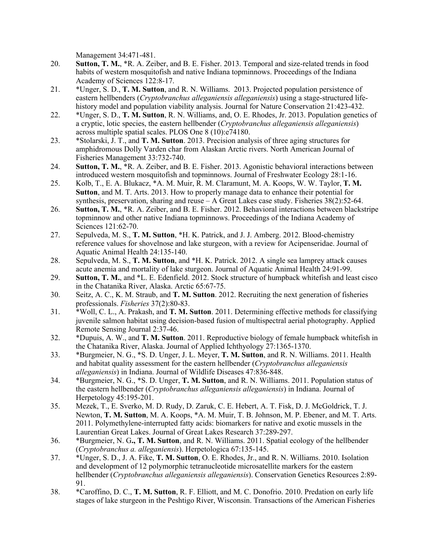Management 34:471-481.

- 20. **Sutton, T. M.**, \*R. A. Zeiber, and B. E. Fisher. 2013. Temporal and size-related trends in food habits of western mosquitofish and native Indiana topminnows. Proceedings of the Indiana Academy of Sciences 122:8-17.
- 21. \*Unger, S. D., **T. M. Sutton**, and R. N. Williams. 2013. Projected population persistence of eastern hellbenders (*Cryptobranchus alleganiensis alleganiensis*) using a stage-structured lifehistory model and population viability analysis. Journal for Nature Conservation 21:423-432.
- 22. \*Unger, S. D., **T. M. Sutton**, R. N. Williams, and, O. E. Rhodes, Jr. 2013. Population genetics of a cryptic, lotic species, the eastern hellbender (*Cryptobranchus alleganiensis alleganiensis*) across multiple spatial scales. PLOS One 8 (10):e74180.
- 23. \*Stolarski, J. T., and **T. M. Sutton**. 2013. Precision analysis of three aging structures for amphidromous Dolly Varden char from Alaskan Arctic rivers. North American Journal of Fisheries Management 33:732-740.
- 24. **Sutton, T. M.**, \*R. A. Zeiber, and B. E. Fisher. 2013. Agonistic behavioral interactions between introduced western mosquitofish and topminnows. Journal of Freshwater Ecology 28:1-16.
- 25. Kolb, T., E. A. Blukacz, \*A. M. Muir, R. M. Claramunt, M. A. Koops, W. W. Taylor, **T. M. Sutton**, and M. T. Arts. 2013. How to properly manage data to enhance their potential for synthesis, preservation, sharing and reuse  $-A$  Great Lakes case study. Fisheries  $38(2)$ :52-64.
- 26. **Sutton, T. M.**, \*R. A. Zeiber, and B. E. Fisher. 2012. Behavioral interactions between blackstripe topminnow and other native Indiana topminnows. Proceedings of the Indiana Academy of Sciences 121:62-70.
- 27. Sepulveda, M. S., **T. M. Sutton**, \*H. K. Patrick, and J. J. Amberg. 2012. Blood-chemistry reference values for shovelnose and lake sturgeon, with a review for Acipenseridae. Journal of Aquatic Animal Health 24:135-140.
- 28. Sepulveda, M. S., **T. M. Sutton**, and \*H. K. Patrick. 2012. A single sea lamprey attack causes acute anemia and mortality of lake sturgeon. Journal of Aquatic Animal Health 24:91-99.
- 29. **Sutton, T. M.**, and \*L. E. Edenfield. 2012. Stock structure of humpback whitefish and least cisco in the Chatanika River, Alaska. Arctic 65:67-75.
- 30. Seitz, A. C., K. M. Straub, and **T. M. Sutton**. 2012. Recruiting the next generation of fisheries professionals. *Fisheries* 37(2):80-83.
- 31. \*Woll, C. L., A. Prakash, and **T. M. Sutton**. 2011. Determining effective methods for classifying juvenile salmon habitat using decision-based fusion of multispectral aerial photography. Applied Remote Sensing Journal 2:37-46.
- 32. \*Dupuis, A. W., and **T. M. Sutton**. 2011. Reproductive biology of female humpback whitefish in the Chatanika River, Alaska. Journal of Applied Ichthyology 27:1365-1370.
- 33. \*Burgmeier, N. G., \*S. D. Unger, J. L. Meyer, **T. M. Sutton**, and R. N. Williams. 2011. Health and habitat quality assessment for the eastern hellbender (*Cryptobranchus alleganiensis alleganiensis*) in Indiana. Journal of Wildlife Diseases 47:836-848.
- 34. \*Burgmeier, N. G., \*S. D. Unger, **T. M. Sutton**, and R. N. Williams. 2011. Population status of the eastern hellbender (*Cryptobranchus alleganiensis alleganiensis*) in Indiana. Journal of Herpetology 45:195-201.
- 35. Mezek, T., E. Sverko, M. D. Rudy, D. Zaruk, C. E. Hebert, A. T. Fisk, D. J. McGoldrick, T. J. Newton, **T. M. Sutton**, M. A. Koops, \*A. M. Muir, T. B. Johnson, M. P. Ebener, and M. T. Arts. 2011. Polymethylene-interrupted fatty acids: biomarkers for native and exotic mussels in the Laurentian Great Lakes. Journal of Great Lakes Research 37:289-297.
- 36. \*Burgmeier, N. G**., T. M. Sutton**, and R. N. Williams. 2011. Spatial ecology of the hellbender (*Cryptobranchus a. alleganiensis*). Herpetologica 67:135-145.
- 37. \*Unger, S. D., J. A. Fike, **T. M. Sutton**, O. E. Rhodes, Jr., and R. N. Williams. 2010. Isolation and development of 12 polymorphic tetranucleotide microsatellite markers for the eastern hellbender (*Cryptobranchus alleganiensis alleganiensis*). Conservation Genetics Resources 2:89- 91.
- 38. \*Caroffino, D. C., **T. M. Sutton**, R. F. Elliott, and M. C. Donofrio. 2010. Predation on early life stages of lake sturgeon in the Peshtigo River, Wisconsin. Transactions of the American Fisheries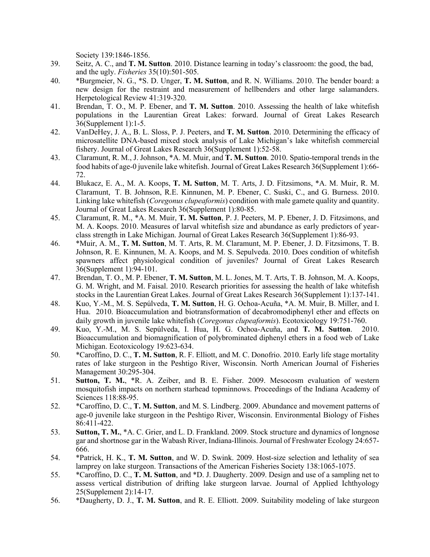Society 139:1846-1856.

- 39. Seitz, A. C., and **T. M. Sutton**. 2010. Distance learning in today's classroom: the good, the bad, and the ugly. *Fisheries* 35(10):501-505.
- 40. \*Burgmeier, N. G., \*S. D. Unger, **T. M. Sutton**, and R. N. Williams. 2010. The bender board: a new design for the restraint and measurement of hellbenders and other large salamanders. Herpetological Review 41:319-320.
- 41. Brendan, T. O., M. P. Ebener, and **T. M. Sutton**. 2010. Assessing the health of lake whitefish populations in the Laurentian Great Lakes: forward. Journal of Great Lakes Research 36(Supplement 1):1-5.
- 42. VanDeHey, J. A., B. L. Sloss, P. J. Peeters, and **T. M. Sutton**. 2010. Determining the efficacy of microsatellite DNA-based mixed stock analysis of Lake Michigan's lake whitefish commercial fishery. Journal of Great Lakes Research 36(Supplement 1):52-58.
- 43. Claramunt, R. M., J. Johnson, \*A. M. Muir, and **T. M. Sutton**. 2010. Spatio-temporal trends in the food habits of age-0 juvenile lake whitefish. Journal of Great Lakes Research 36(Supplement 1):66- 72.
- 44. Blukacz, E. A., M. A. Koops, **T. M. Sutton**, M. T. Arts, J. D. Fitzsimons, \*A. M. Muir, R. M. Claramunt, T. B. Johnson, R.E. Kinnunen, M. P. Ebener, C. Suski, C., and G. Burness. 2010. Linking lake whitefish (*Coregonus clupeaformis*) condition with male gamete quality and quantity. Journal of Great Lakes Research 36(Supplement 1):80-85.
- 45. Claramunt, R. M., \*A. M. Muir, **T. M. Sutton**, P. J. Peeters, M. P. Ebener, J. D. Fitzsimons, and M. A. Koops. 2010. Measures of larval whitefish size and abundance as early predictors of yearclass strength in Lake Michigan. Journal of Great Lakes Research 36(Supplement 1):86-93.
- 46. \*Muir, A. M., **T. M. Sutton**, M. T. Arts, R. M. Claramunt, M. P. Ebener, J. D. Fitzsimons, T. B. Johnson, R. E. Kinnunen, M. A. Koops, and M. S. Sepulveda. 2010. Does condition of whitefish spawners affect physiological condition of juveniles? Journal of Great Lakes Research 36(Supplement 1):94-101.
- 47. Brendan, T. O., M. P. Ebener, **T. M. Sutton**, M. L. Jones, M. T. Arts, T. B. Johnson, M. A. Koops, G. M. Wright, and M. Faisal. 2010. Research priorities for assessing the health of lake whitefish stocks in the Laurentian Great Lakes. Journal of Great Lakes Research 36(Supplement 1):137-141.
- 48. Kuo, Y.-M., M. S. Sepúlveda, **T. M. Sutton**, H. G. Ochoa-Acuña, \*A. M. Muir, B. Miller, and I. Hua. 2010. Bioaccumulation and biotransformation of decabromodiphenyl ether and effects on daily growth in juvenile lake whitefish (*Coregonus clupeaformis*). Ecotoxicology 19:751-760.
- 49. Kuo, Y.-M., M. S. Sepúlveda, I. Hua, H. G. Ochoa-Acuña, and **T. M. Sutton**. 2010. Bioaccumulation and biomagnification of polybrominated diphenyl ethers in a food web of Lake Michigan. Ecotoxicology 19:623-634.
- 50. \*Caroffino, D. C., **T. M. Sutton**, R. F. Elliott, and M. C. Donofrio. 2010. Early life stage mortality rates of lake sturgeon in the Peshtigo River, Wisconsin. North American Journal of Fisheries Management 30:295-304.
- 51. **Sutton, T. M.**, \*R. A. Zeiber, and B. E. Fisher. 2009. Mesocosm evaluation of western mosquitofish impacts on northern starhead topminnows. Proceedings of the Indiana Academy of Sciences 118:88-95.
- 52. \*Caroffino, D. C., **T. M. Sutton**, and M. S. Lindberg. 2009. Abundance and movement patterns of age-0 juvenile lake sturgeon in the Peshtigo River, Wisconsin. Environmental Biology of Fishes 86:411-422.
- 53. **Sutton, T. M.**, \*A. C. Grier, and L. D. Frankland. 2009. Stock structure and dynamics of longnose gar and shortnose gar in the Wabash River, Indiana-Illinois. Journal of Freshwater Ecology 24:657- 666.
- 54. \*Patrick, H. K., **T. M. Sutton**, and W. D. Swink. 2009. Host-size selection and lethality of sea lamprey on lake sturgeon. Transactions of the American Fisheries Society 138:1065-1075.
- 55. \*Caroffino, D. C., **T. M. Sutton**, and \*D. J. Daugherty. 2009. Design and use of a sampling net to assess vertical distribution of drifting lake sturgeon larvae. Journal of Applied Ichthyology 25(Supplement 2):14-17.
- 56. \*Daugherty, D. J., **T. M. Sutton**, and R. E. Elliott. 2009. Suitability modeling of lake sturgeon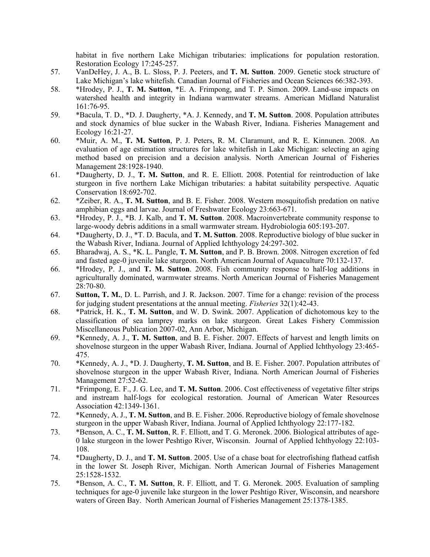habitat in five northern Lake Michigan tributaries: implications for population restoration. Restoration Ecology 17:245-257.

- 57. VanDeHey, J. A., B. L. Sloss, P. J. Peeters, and **T. M. Sutton**. 2009. Genetic stock structure of Lake Michigan's lake whitefish. Canadian Journal of Fisheries and Ocean Sciences 66:382-393.
- 58. \*Hrodey, P. J., **T. M. Sutton**, \*E. A. Frimpong, and T. P. Simon. 2009. Land-use impacts on watershed health and integrity in Indiana warmwater streams. American Midland Naturalist 161:76-95.
- 59. \*Bacula, T. D., \*D. J. Daugherty, \*A. J. Kennedy, and **T. M. Sutton**. 2008. Population attributes and stock dynamics of blue sucker in the Wabash River, Indiana. Fisheries Management and Ecology 16:21-27.
- 60. \*Muir, A. M., **T. M. Sutton**, P. J. Peters, R. M. Claramunt, and R. E. Kinnunen. 2008. An evaluation of age estimation structures for lake whitefish in Lake Michigan: selecting an aging method based on precision and a decision analysis. North American Journal of Fisheries Management 28:1928-1940.
- 61. \*Daugherty, D. J., **T. M. Sutton**, and R. E. Elliott. 2008. Potential for reintroduction of lake sturgeon in five northern Lake Michigan tributaries: a habitat suitability perspective. Aquatic Conservation 18:692-702.
- 62. \*Zeiber, R. A., **T. M. Sutton**, and B. E. Fisher. 2008. Western mosquitofish predation on native amphibian eggs and larvae. Journal of Freshwater Ecology 23:663-671.
- 63. \*Hrodey, P. J., \*B. J. Kalb, and **T. M. Sutton**. 2008. Macroinvertebrate community response to large-woody debris additions in a small warmwater stream. Hydrobiologia 605:193-207.
- 64. \*Daugherty, D. J., \*T. D. Bacula, and **T. M. Sutton**. 2008. Reproductive biology of blue sucker in the Wabash River, Indiana. Journal of Applied Ichthyology 24:297-302.
- 65. Bharadwaj, A. S., \*K. L. Pangle, **T. M. Sutton**, and P. B. Brown. 2008. Nitrogen excretion of fed and fasted age-0 juvenile lake sturgeon. North American Journal of Aquaculture 70:132-137.
- 66. \*Hrodey, P. J., and **T. M. Sutton**. 2008. Fish community response to half-log additions in agriculturally dominated, warmwater streams. North American Journal of Fisheries Management 28:70-80.
- 67. **Sutton, T. M.**, D. L. Parrish, and J. R. Jackson. 2007. Time for a change: revision of the process for judging student presentations at the annual meeting. *Fisheries* 32(1):42-43.
- 68. \*Patrick, H. K., **T. M. Sutton**, and W. D. Swink. 2007. Application of dichotomous key to the classification of sea lamprey marks on lake sturgeon. Great Lakes Fishery Commission Miscellaneous Publication 2007-02, Ann Arbor, Michigan.
- 69. \*Kennedy, A. J., **T. M. Sutton**, and B. E. Fisher. 2007. Effects of harvest and length limits on shovelnose sturgeon in the upper Wabash River, Indiana. Journal of Applied Ichthyology 23:465- 475.
- 70. \*Kennedy, A. J., \*D. J. Daugherty, **T. M. Sutton**, and B. E. Fisher. 2007. Population attributes of shovelnose sturgeon in the upper Wabash River, Indiana. North American Journal of Fisheries Management 27:52-62.
- 71. \*Frimpong, E. F., J. G. Lee, and **T. M. Sutton**. 2006. Cost effectiveness of vegetative filter strips and instream half-logs for ecological restoration. Journal of American Water Resources Association 42:1349-1361.
- 72. \*Kennedy, A. J., **T. M. Sutton**, and B. E. Fisher. 2006. Reproductive biology of female shovelnose sturgeon in the upper Wabash River, Indiana. Journal of Applied Ichthyology 22:177-182.
- 73. \*Benson, A. C., **T. M. Sutton**, R. F. Elliott, and T. G. Meronek. 2006. Biological attributes of age-0 lake sturgeon in the lower Peshtigo River, Wisconsin. Journal of Applied Ichthyology 22:103- 108.
- 74. \*Daugherty, D. J., and **T. M. Sutton**. 2005. Use of a chase boat for electrofishing flathead catfish in the lower St. Joseph River, Michigan. North American Journal of Fisheries Management 25:1528-1532.
- 75. \*Benson, A. C., **T. M. Sutton**, R. F. Elliott, and T. G. Meronek. 2005. Evaluation of sampling techniques for age-0 juvenile lake sturgeon in the lower Peshtigo River, Wisconsin, and nearshore waters of Green Bay. North American Journal of Fisheries Management 25:1378-1385.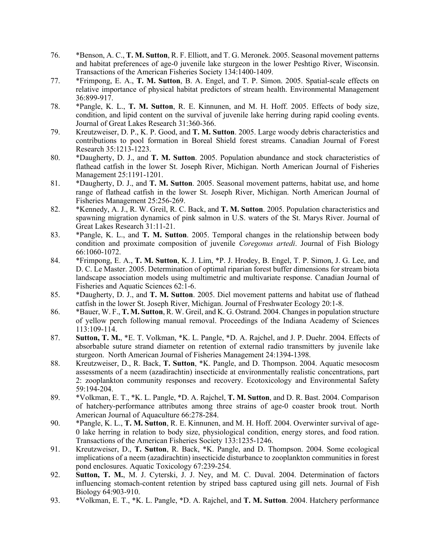- 76. \*Benson, A. C., **T. M. Sutton**, R. F. Elliott, and T. G. Meronek. 2005. Seasonal movement patterns and habitat preferences of age-0 juvenile lake sturgeon in the lower Peshtigo River, Wisconsin. Transactions of the American Fisheries Society 134:1400-1409.
- 77. \*Frimpong, E. A., **T. M. Sutton**, B. A. Engel, and T. P. Simon. 2005. Spatial-scale effects on relative importance of physical habitat predictors of stream health. Environmental Management 36:899-917.
- 78. \*Pangle, K. L., **T. M. Sutton**, R. E. Kinnunen, and M. H. Hoff. 2005. Effects of body size, condition, and lipid content on the survival of juvenile lake herring during rapid cooling events. Journal of Great Lakes Research 31:360-366.
- 79. Kreutzweiser, D. P., K. P. Good, and **T. M. Sutton**. 2005. Large woody debris characteristics and contributions to pool formation in Boreal Shield forest streams. Canadian Journal of Forest Research 35:1213-1223.
- 80. \*Daugherty, D. J., and **T. M. Sutton**. 2005. Population abundance and stock characteristics of flathead catfish in the lower St. Joseph River, Michigan. North American Journal of Fisheries Management 25:1191-1201.
- 81. \*Daugherty, D. J., and **T. M. Sutton**. 2005. Seasonal movement patterns, habitat use, and home range of flathead catfish in the lower St. Joseph River, Michigan. North American Journal of Fisheries Management 25:256-269.
- 82. \*Kennedy, A. J., R. W. Greil, R. C. Back, and **T. M. Sutton**. 2005. Population characteristics and spawning migration dynamics of pink salmon in U.S. waters of the St. Marys River. Journal of Great Lakes Research 31:11-21.
- 83. \*Pangle, K. L., and **T. M. Sutton**. 2005. Temporal changes in the relationship between body condition and proximate composition of juvenile *Coregonus artedi*. Journal of Fish Biology 66:1060-1072.
- 84. \*Frimpong, E. A., **T. M. Sutton**, K. J. Lim, \*P. J. Hrodey, B. Engel, T. P. Simon, J. G. Lee, and D. C. Le Master. 2005. Determination of optimal riparian forest buffer dimensions for stream biota landscape association models using multimetric and multivariate response. Canadian Journal of Fisheries and Aquatic Sciences 62:1-6.
- 85. \*Daugherty, D. J., and **T. M. Sutton**. 2005. Diel movement patterns and habitat use of flathead catfish in the lower St. Joseph River, Michigan. Journal of Freshwater Ecology 20:1-8.
- 86. \*Bauer, W. F., **T. M. Sutton**, R. W. Greil, and K. G. Ostrand. 2004. Changes in population structure of yellow perch following manual removal. Proceedings of the Indiana Academy of Sciences 113:109-114.
- 87. **Sutton, T. M.**, \*E. T. Volkman, \*K. L. Pangle, \*D. A. Rajchel, and J. P. Duehr. 2004. Effects of absorbable suture strand diameter on retention of external radio transmitters by juvenile lake sturgeon. North American Journal of Fisheries Management 24:1394-1398.
- 88. Kreutzweiser, D., R. Back, **T. Sutton**, \*K. Pangle, and D. Thompson. 2004. Aquatic mesocosm assessments of a neem (azadirachtin) insecticide at environmentally realistic concentrations, part 2: zooplankton community responses and recovery. Ecotoxicology and Environmental Safety 59:194-204.
- 89. \*Volkman, E. T., \*K. L. Pangle, \*D. A. Rajchel, **T. M. Sutton**, and D. R. Bast. 2004. Comparison of hatchery-performance attributes among three strains of age-0 coaster brook trout. North American Journal of Aquaculture 66:278-284.
- 90. \*Pangle, K. L., **T. M. Sutton**, R. E. Kinnunen, and M. H. Hoff. 2004. Overwinter survival of age-0 lake herring in relation to body size, physiological condition, energy stores, and food ration. Transactions of the American Fisheries Society 133:1235-1246.
- 91. Kreutzweiser, D., **T. Sutton**, R. Back, \*K. Pangle, and D. Thompson. 2004. Some ecological implications of a neem (azadirachtin) insecticide disturbance to zooplankton communities in forest pond enclosures. Aquatic Toxicology 67:239-254.
- 92. **Sutton, T. M.**, M. J. Cyterski, J. J. Ney, and M. C. Duval. 2004. Determination of factors influencing stomach-content retention by striped bass captured using gill nets. Journal of Fish Biology 64:903-910.
- 93. \*Volkman, E. T., \*K. L. Pangle, \*D. A. Rajchel, and **T. M. Sutton**. 2004. Hatchery performance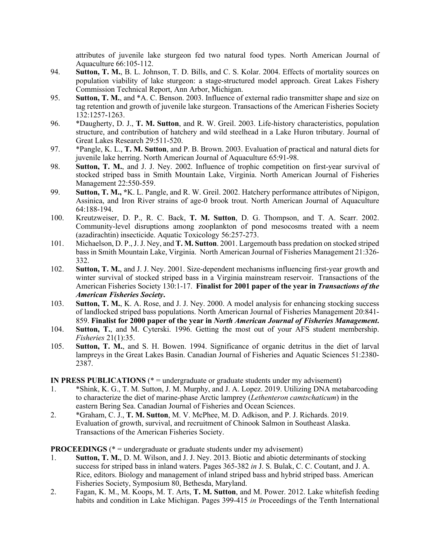attributes of juvenile lake sturgeon fed two natural food types. North American Journal of Aquaculture 66:105-112.

- 94. **Sutton, T. M.**, B. L. Johnson, T. D. Bills, and C. S. Kolar. 2004. Effects of mortality sources on population viability of lake sturgeon: a stage-structured model approach. Great Lakes Fishery Commission Technical Report, Ann Arbor, Michigan.
- 95. **Sutton, T. M.**, and \*A. C. Benson. 2003. Influence of external radio transmitter shape and size on tag retention and growth of juvenile lake sturgeon. Transactions of the American Fisheries Society 132:1257-1263.
- 96. \*Daugherty, D. J., **T. M. Sutton**, and R. W. Greil. 2003. Life-history characteristics, population structure, and contribution of hatchery and wild steelhead in a Lake Huron tributary. Journal of Great Lakes Research 29:511-520.
- 97. \*Pangle, K. L., **T. M. Sutton**, and P. B. Brown. 2003. Evaluation of practical and natural diets for juvenile lake herring. North American Journal of Aquaculture 65:91-98.
- 98. **Sutton, T. M.**, and J. J. Ney. 2002. Influence of trophic competition on first-year survival of stocked striped bass in Smith Mountain Lake, Virginia. North American Journal of Fisheries Management 22:550-559.
- 99. **Sutton, T. M., \***K. L. Pangle, and R. W. Greil. 2002. Hatchery performance attributes of Nipigon, Assinica, and Iron River strains of age-0 brook trout. North American Journal of Aquaculture 64:188-194.
- 100. Kreutzweiser, D. P., R. C. Back, **T. M. Sutton**, D. G. Thompson, and T. A. Scarr. 2002. Community-level disruptions among zooplankton of pond mesocosms treated with a neem (azadirachtin) insecticide. Aquatic Toxicology 56:257-273.
- 101. Michaelson, D. P., J. J. Ney, and **T. M. Sutton**. 2001. Largemouth bass predation on stocked striped bass in Smith Mountain Lake, Virginia. North American Journal of Fisheries Management 21:326- 332.
- 102. **Sutton, T. M.**, and J. J. Ney. 2001. Size-dependent mechanisms influencing first-year growth and winter survival of stocked striped bass in a Virginia mainstream reservoir. Transactions of the American Fisheries Society 130:1-17. **Finalist for 2001 paper of the year in** *Transactions of the American Fisheries Society***.**
- 103. **Sutton, T. M.**, K. A. Rose, and J. J. Ney. 2000. A model analysis for enhancing stocking success of landlocked striped bass populations. North American Journal of Fisheries Management 20:841- 859. **Finalist for 2000 paper of the year in** *North American Journal of Fisheries Management***.**
- 104. **Sutton, T.**, and M. Cyterski. 1996. Getting the most out of your AFS student membership. *Fisheries* 21(1):35.
- 105. **Sutton, T. M.**, and S. H. Bowen. 1994. Significance of organic detritus in the diet of larval lampreys in the Great Lakes Basin. Canadian Journal of Fisheries and Aquatic Sciences 51:2380- 2387.

**IN PRESS PUBLICATIONS** (\* = undergraduate or graduate students under my advisement)

- 1. \*Shink, K. G., T. M. Sutton, J. M. Murphy, and J. A. Lopez. 2019. Utilizing DNA metabarcoding to characterize the diet of marine-phase Arctic lamprey (*Lethenteron camtschaticum*) in the eastern Bering Sea. Canadian Journal of Fisheries and Ocean Sciences.
- 2. \*Graham, C. J., **T. M. Sutton**, M. V. McPhee, M. D. Adkison, and P. J. Richards. 2019. Evaluation of growth, survival, and recruitment of Chinook Salmon in Southeast Alaska. Transactions of the American Fisheries Society.

**PROCEEDINGS** (\* = undergraduate or graduate students under my advisement)

- 1. **Sutton, T. M.**, D. M. Wilson, and J. J. Ney. 2013. Biotic and abiotic determinants of stocking success for striped bass in inland waters. Pages 365-382 *in* J. S. Bulak, C. C. Coutant, and J. A. Rice, editors. Biology and management of inland striped bass and hybrid striped bass. American Fisheries Society, Symposium 80, Bethesda, Maryland.
- 2. Fagan, K. M., M. Koops, M. T. Arts, **T. M. Sutton**, and M. Power. 2012. Lake whitefish feeding habits and condition in Lake Michigan. Pages 399-415 *in* Proceedings of the Tenth International